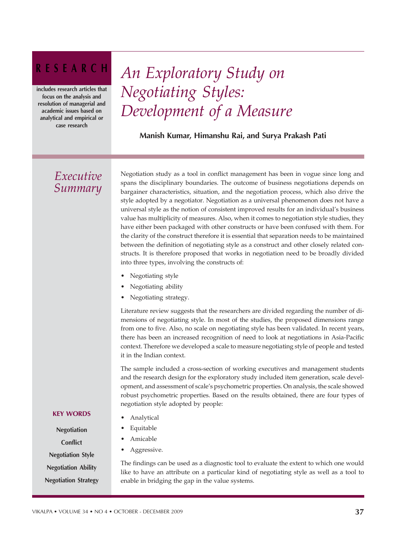## RESEARCH

includes research articles that focus on the analysis and resolution of managerial and academic issues based on analytical and empirical or case research

# *An Exploratory Study on Negotiating Styles: Development of a Measure*

Manish Kumar, Himanshu Rai, and Surya Prakash Pati

### *Executive Summary*

Negotiation study as a tool in conflict management has been in vogue since long and spans the disciplinary boundaries. The outcome of business negotiations depends on bargainer characteristics, situation, and the negotiation process, which also drive the style adopted by a negotiator. Negotiation as a universal phenomenon does not have a universal style as the notion of consistent improved results for an individual's business value has multiplicity of measures. Also, when it comes to negotiation style studies, they have either been packaged with other constructs or have been confused with them. For the clarity of the construct therefore it is essential that separation needs to be maintained between the definition of negotiating style as a construct and other closely related constructs. It is therefore proposed that works in negotiation need to be broadly divided into three types, involving the constructs of:

- Negotiating style
- Negotiating ability
- Negotiating strategy.

Literature review suggests that the researchers are divided regarding the number of dimensions of negotiating style. In most of the studies, the proposed dimensions range from one to five. Also, no scale on negotiating style has been validated. In recent years, there has been an increased recognition of need to look at negotiations in Asia-Pacific context. Therefore we developed a scale to measure negotiating style of people and tested it in the Indian context.

The sample included a cross-section of working executives and management students and the research design for the exploratory study included item generation, scale development, and assessment of scale's psychometric properties. On analysis, the scale showed robust psychometric properties. Based on the results obtained, there are four types of negotiation style adopted by people:

- **Analytical**
- **Equitable**
- **Amicable**
- Aggressive.

The findings can be used as a diagnostic tool to evaluate the extent to which one would like to have an attribute on a particular kind of negotiating style as well as a tool to enable in bridging the gap in the value systems.

#### KEY WORDS

Negotiation **Conflict** Negotiation Style Negotiation Ability Negotiation Strategy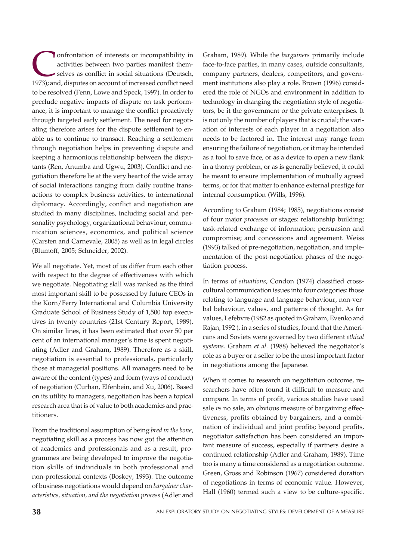**CONFORTABLE CONFORTED SERVICES CONFIDENT**<br>
selves as conflict in social situations (Deutsch, 1973); and, disputes on account of increased conflict need onfrontation of interests or incompatibility in activities between two parties manifest themselves as conflict in social situations (Deutsch, to be resolved (Fenn, Lowe and Speck, 1997). In order to preclude negative impacts of dispute on task performance, it is important to manage the conflict proactively through targeted early settlement. The need for negotiating therefore arises for the dispute settlement to enable us to continue to transact. Reaching a settlement through negotiation helps in preventing dispute and keeping a harmonious relationship between the disputants (Ren, Anumba and Ugwu, 2003). Conflict and negotiation therefore lie at the very heart of the wide array of social interactions ranging from daily routine transactions to complex business activities, to international diplomacy. Accordingly, conflict and negotiation are studied in many disciplines, including social and personality psychology, organizational behaviour, communication sciences, economics, and political science (Carsten and Carnevale, 2005) as well as in legal circles (Blumoff, 2005; Schneider, 2002).

We all negotiate. Yet, most of us differ from each other with respect to the degree of effectiveness with which we negotiate. Negotiating skill was ranked as the third most important skill to be possessed by future CEOs in the Korn/Ferry International and Columbia University Graduate School of Business Study of 1,500 top executives in twenty countries (21st Century Report, 1989). On similar lines, it has been estimated that over 50 per cent of an international manager's time is spent negotiating (Adler and Graham, 1989). Therefore as a skill, negotiation is essential to professionals, particularly those at managerial positions. All managers need to be aware of the content (types) and form (ways of conduct) of negotiation (Curhan, Elfenbein, and Xu, 2006). Based on its utility to managers, negotiation has been a topical research area that is of value to both academics and practitioners.

From the traditional assumption of being *bred in the bone*, negotiating skill as a process has now got the attention of academics and professionals and as a result, programmes are being developed to improve the negotiation skills of individuals in both professional and non-professional contexts (Boskey, 1993). The outcome of business negotiations would depend on *bargainer characteristics, situation, and the negotiation process* (Adler and Graham, 1989). While the *bargainers* primarily include face-to-face parties, in many cases, outside consultants, company partners, dealers, competitors, and government institutions also play a role. Brown (1996) considered the role of NGOs and environment in addition to technology in changing the negotiation style of negotiators, be it the government or the private enterprises. It is not only the number of players that is crucial; the variation of interests of each player in a negotiation also needs to be factored in. The interest may range from ensuring the failure of negotiation, or it may be intended as a tool to save face, or as a device to open a new flank in a thorny problem, or as is generally believed, it could be meant to ensure implementation of mutually agreed terms, or for that matter to enhance external prestige for internal consumption (Wills, 1996).

According to Graham (1984; 1985), negotiations consist of four major *processes* or stages: relationship building; task-related exchange of information; persuasion and compromise; and concessions and agreement. Weiss (1993) talked of pre-negotiation, negotiation, and implementation of the post-negotiation phases of the negotiation process.

In terms of *situations*, Condon (1974) classified crosscultural communication issues into four categories: those relating to language and language behaviour, non-verbal behaviour, values, and patterns of thought. As for values, Lefebvre (1982 as quoted in Graham, Evenko and Rajan, 1992 ), in a series of studies, found that the Americans and Soviets were governed by two different *ethical systems*. Graham *et al.* (1988) believed the negotiator's role as a buyer or a seller to be the most important factor in negotiations among the Japanese.

When it comes to research on negotiation outcome, researchers have often found it difficult to measure and compare. In terms of profit, various studies have used sale *vs* no sale, an obvious measure of bargaining effectiveness, profits obtained by bargainers, and a combination of individual and joint profits; beyond profits, negotiator satisfaction has been considered an important measure of success, especially if partners desire a continued relationship (Adler and Graham, 1989). Time too is many a time considered as a negotiation outcome. Green, Gross and Robinson (1967) considered duration of negotiations in terms of economic value. However, Hall (1960) termed such a view to be culture-specific.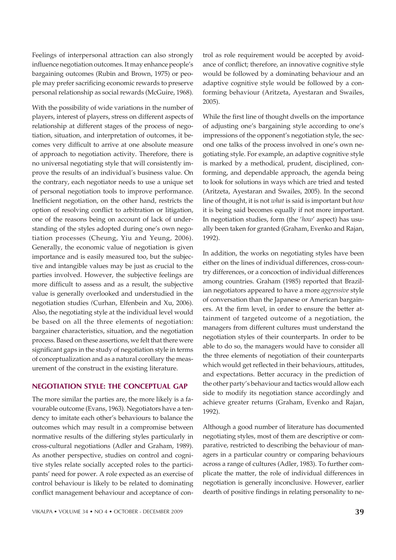Feelings of interpersonal attraction can also strongly influence negotiation outcomes. It may enhance people's bargaining outcomes (Rubin and Brown, 1975) or people may prefer sacrificing economic rewards to preserve personal relationship as social rewards (McGuire, 1968).

With the possibility of wide variations in the number of players, interest of players, stress on different aspects of relationship at different stages of the process of negotiation, situation, and interpretation of outcomes, it becomes very difficult to arrive at one absolute measure of approach to negotiation activity. Therefore, there is no universal negotiating style that will consistently improve the results of an individual's business value. On the contrary, each negotiator needs to use a unique set of personal negotiation tools to improve performance. Inefficient negotiation, on the other hand, restricts the option of resolving conflict to arbitration or litigation, one of the reasons being on account of lack of understanding of the styles adopted during one's own negotiation processes (Cheung, Yiu and Yeung, 2006). Generally, the economic value of negotiation is given importance and is easily measured too, but the subjective and intangible values may be just as crucial to the parties involved. However, the subjective feelings are more difficult to assess and as a result, the subjective value is generally overlooked and understudied in the negotiation studies *(*Curhan, Elfenbein and Xu, 2006). Also, the negotiating style at the individual level would be based on all the three elements of negotiation: bargainer characteristics, situation, and the negotiation process. Based on these assertions, we felt that there were significant gaps in the study of negotiation style in terms of conceptualization and as a natural corollary the measurement of the construct in the existing literature.

#### NEGOTIATION STYLE: THE CONCEPTUAL GAP

The more similar the parties are, the more likely is a favourable outcome (Evans, 1963). Negotiators have a tendency to imitate each other's behaviours to balance the outcomes which may result in a compromise between normative results of the differing styles particularly in cross-cultural negotiations (Adler and Graham, 1989). As another perspective, studies on control and cognitive styles relate socially accepted roles to the participants' need for power. A role expected as an exercise of control behaviour is likely to be related to dominating conflict management behaviour and acceptance of con-

trol as role requirement would be accepted by avoidance of conflict; therefore, an innovative cognitive style would be followed by a dominating behaviour and an adaptive cognitive style would be followed by a conforming behaviour (Aritzeta, Ayestaran and Swailes, 2005).

While the first line of thought dwells on the importance of adjusting one's bargaining style according to one's impressions of the opponent's negotiation style, the second one talks of the process involved in one's own negotiating style. For example, an adaptive cognitive style is marked by a methodical, prudent, disciplined, conforming, and dependable approach, the agenda being to look for solutions in ways which are tried and tested (Aritzeta, Ayestaran and Swailes, 2005). In the second line of thought, it is not *what* is said is important but *how* it is being said becomes equally if not more important. In negotiation studies, form (the '*how*' aspect) has usually been taken for granted (Graham, Evenko and Rajan, 1992).

In addition, the works on negotiating styles have been either on the lines of individual differences, cross-country differences, or a concoction of individual differences among countries. Graham (1985) reported that Brazilian negotiators appeared to have a more *aggressive* style of conversation than the Japanese or American bargainers. At the firm level, in order to ensure the better attainment of targeted outcome of a negotiation, the managers from different cultures must understand the negotiation styles of their counterparts. In order to be able to do so, the managers would have to consider all the three elements of negotiation of their counterparts which would get reflected in their behaviours, attitudes, and expectations. Better accuracy in the prediction of the other party's behaviour and tactics would allow each side to modify its negotiation stance accordingly and achieve greater returns (Graham, Evenko and Rajan, 1992).

Although a good number of literature has documented negotiating styles, most of them are descriptive or comparative, restricted to describing the behaviour of managers in a particular country or comparing behaviours across a range of cultures (Adler, 1983). To further complicate the matter, the role of individual differences in negotiation is generally inconclusive. However, earlier dearth of positive findings in relating personality to ne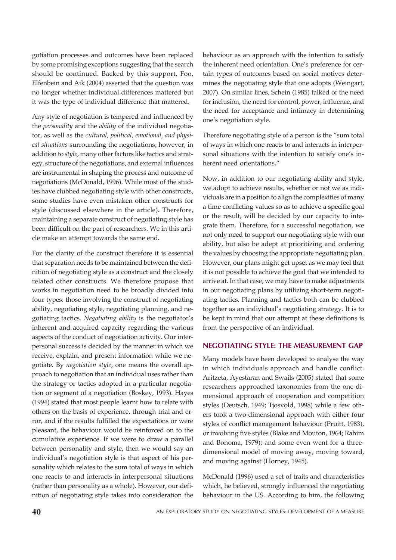gotiation processes and outcomes have been replaced by some promising exceptions suggesting that the search should be continued. Backed by this support, Foo, Elfenbein and Aik (2004) asserted that the question was no longer whether individual differences mattered but it was the type of individual difference that mattered.

Any style of negotiation is tempered and influenced by the *personality* and the *ability* of the individual negotiator, as well as the *cultural, political, emotional, and physical situations* surrounding the negotiations; however, in addition to *style,* many other factors like tactics and strategy, structure of the negotiations, and external influences are instrumental in shaping the process and outcome of negotiations (McDonald, 1996). While most of the studies have clubbed negotiating style with other constructs, some studies have even mistaken other constructs for style (discussed elsewhere in the article). Therefore, maintaining a separate construct of negotiating style has been difficult on the part of researchers. We in this article make an attempt towards the same end.

For the clarity of the construct therefore it is essential that separation needs to be maintained between the definition of negotiating style as a construct and the closely related other constructs. We therefore propose that works in negotiation need to be broadly divided into four types: those involving the construct of negotiating ability, negotiating style, negotiating planning, and negotiating tactics. *Negotiating ability* is the negotiator's inherent and acquired capacity regarding the various aspects of the conduct of negotiation activity. Our interpersonal success is decided by the manner in which we receive, explain, and present information while we negotiate. By *negotiation style*, one means the overall approach to negotiation that an individual uses rather than the strategy or tactics adopted in a particular negotiation or segment of a negotiation (Boskey, 1993). Hayes (1994) stated that most people learnt how to relate with others on the basis of experience, through trial and error, and if the results fulfilled the expectations or were pleasant, the behaviour would be reinforced on to the cumulative experience. If we were to draw a parallel between personality and style, then we would say an individual's negotiation style is that aspect of his personality which relates to the sum total of ways in which one reacts to and interacts in interpersonal situations (rather than personality as a whole). However, our definition of negotiating style takes into consideration the

behaviour as an approach with the intention to satisfy the inherent need orientation. One's preference for certain types of outcomes based on social motives determines the negotiating style that one adopts (Weingart, 2007). On similar lines, Schein (1985) talked of the need for inclusion, the need for control, power, influence, and the need for acceptance and intimacy in determining one's negotiation style.

Therefore negotiating style of a person is the "sum total of ways in which one reacts to and interacts in interpersonal situations with the intention to satisfy one's inherent need orientations."

Now, in addition to our negotiating ability and style, we adopt to achieve results, whether or not we as individuals are in a position to align the complexities of many a time conflicting values so as to achieve a specific goal or the result, will be decided by our capacity to integrate them. Therefore, for a successful negotiation, we not only need to support our negotiating style with our ability, but also be adept at prioritizing and ordering the values by choosing the appropriate negotiating plan. However, our plans might get upset as we may feel that it is not possible to achieve the goal that we intended to arrive at. In that case, we may have to make adjustments in our negotiating plans by utilizing short-term negotiating tactics. Planning and tactics both can be clubbed together as an individual's negotiating strategy. It is to be kept in mind that our attempt at these definitions is from the perspective of an individual.

#### NEGOTIATING STYLE: THE MEASUREMENT GAP

Many models have been developed to analyse the way in which individuals approach and handle conflict. Aritzeta, Ayestaran and Swails (2005) stated that some researchers approached taxonomies from the one-dimensional approach of cooperation and competition styles (Deutsch, 1949; Tjosvold, 1998) while a few others took a two-dimensional approach with either four styles of conflict management behaviour (Pruitt, 1983), or involving five styles (Blake and Mouton, 1964; Rahim and Bonoma, 1979); and some even went for a threedimensional model of moving away, moving toward, and moving against (Horney, 1945).

McDonald (1996) used a set of traits and characteristics which, he believed, strongly influenced the negotiating behaviour in the US. According to him, the following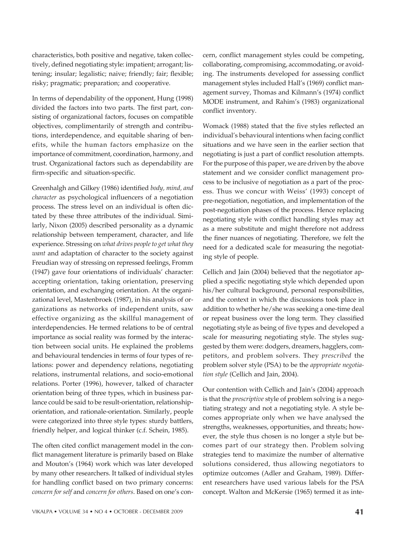characteristics, both positive and negative, taken collectively, defined negotiating style: impatient; arrogant; listening; insular; legalistic; naive; friendly; fair; flexible; risky; pragmatic; preparation; and cooperative.

In terms of dependability of the opponent, Hung (1998) divided the factors into two parts. The first part, consisting of organizational factors, focuses on compatible objectives, complimentarily of strength and contributions, interdependence, and equitable sharing of benefits, while the human factors emphasize on the importance of commitment, coordination, harmony, and trust. Organizational factors such as dependability are firm-specific and situation-specific.

Greenhalgh and Gilkey (1986) identified *body, mind, and character* as psychological influencers of a negotiation process. The stress level on an individual is often dictated by these three attributes of the individual. Similarly, Nixon (2005) described personality as a dynamic relationship between temperament, character, and life experience. Stressing on *what drives people to get what they want* and adaptation of character to the society against Freudian way of stressing on repressed feelings, Fromm (1947) gave four orientations of individuals' character: accepting orientation, taking orientation, preserving orientation, and exchanging orientation. At the organizational level, Mastenbroek (1987), in his analysis of organizations as networks of independent units, saw effective organizing as the skillful management of interdependencies. He termed relations to be of central importance as social reality was formed by the interaction between social units. He explained the problems and behavioural tendencies in terms of four types of relations: power and dependency relations, negotiating relations, instrumental relations, and socio-emotional relations. Porter (1996), however, talked of character orientation being of three types, which in business parlance could be said to be result-orientation, relationshiporientation, and rationale-orientation. Similarly, people were categorized into three style types: sturdy battlers, friendly helper, and logical thinker (c.f. Schein, 1985).

The often cited conflict management model in the conflict management literature is primarily based on Blake and Mouton's (1964) work which was later developed by many other researchers. It talked of individual styles for handling conflict based on two primary concerns: *concern for self* and *concern for others*. Based on one's concern, conflict management styles could be competing, collaborating, compromising, accommodating, or avoiding. The instruments developed for assessing conflict management styles included Hall's (1969) conflict management survey, Thomas and Kilmann's (1974) conflict MODE instrument, and Rahim's (1983) organizational conflict inventory.

Womack (1988) stated that the five styles reflected an individual's behavioural intentions when facing conflict situations and we have seen in the earlier section that negotiating is just a part of conflict resolution attempts. For the purpose of this paper, we are driven by the above statement and we consider conflict management process to be inclusive of negotiation as a part of the process. Thus we concur with Weiss' (1993) concept of pre-negotiation, negotiation, and implementation of the post-negotiation phases of the process. Hence replacing negotiating style with conflict handling styles may act as a mere substitute and might therefore not address the finer nuances of negotiating. Therefore, we felt the need for a dedicated scale for measuring the negotiating style of people.

Cellich and Jain (2004) believed that the negotiator applied a specific negotiating style which depended upon his/her cultural background, personal responsibilities, and the context in which the discussions took place in addition to whether he/she was seeking a one-time deal or repeat business over the long term. They classified negotiating style as being of five types and developed a scale for measuring negotiating style. The styles suggested by them were: dodgers, dreamers, hagglers, competitors, and problem solvers. They *prescribed* the problem solver style (PSA) to be the *appropriate negotiation style* (Cellich and Jain, 2004).

Our contention with Cellich and Jain's (2004) approach is that the *prescriptive* style of problem solving is a negotiating strategy and not a negotiating style. A style becomes appropriate only when we have analysed the strengths, weaknesses, opportunities, and threats; however, the style thus chosen is no longer a style but becomes part of our strategy then. Problem solving strategies tend to maximize the number of alternative solutions considered, thus allowing negotiators to optimize outcomes (Adler and Graham, 1989). Different researchers have used various labels for the PSA concept. Walton and McKersie (1965) termed it as inte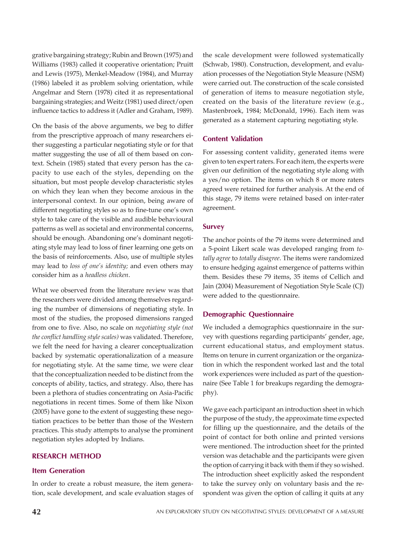grative bargaining strategy; Rubin and Brown (1975) and Williams (1983) called it cooperative orientation; Pruitt and Lewis (1975), Menkel-Meadow (1984), and Murray (1986) labeled it as problem solving orientation, while Angelmar and Stern (1978) cited it as representational bargaining strategies; and Weitz (1981) used direct/open influence tactics to address it (Adler and Graham, 1989).

On the basis of the above arguments, we beg to differ from the prescriptive approach of many researchers either suggesting a particular negotiating style or for that matter suggesting the use of all of them based on context. Schein (1985) stated that every person has the capacity to use each of the styles, depending on the situation, but most people develop characteristic styles on which they lean when they become anxious in the interpersonal context. In our opinion, being aware of different negotiating styles so as to fine-tune one's own style to take care of the visible and audible behavioural patterns as well as societal and environmental concerns, should be enough. Abandoning one's dominant negotiating style may lead to loss of finer learning one gets on the basis of reinforcements. Also, use of multiple styles may lead to *loss of one's identity;* and even others may consider him as a *headless chicken*.

What we observed from the literature review was that the researchers were divided among themselves regarding the number of dimensions of negotiating style. In most of the studies, the proposed dimensions ranged from one to five. Also, no scale on *negotiating style (not the conflict handling style scales)* was validated. Therefore, we felt the need for having a clearer conceptualization backed by systematic operationalization of a measure for negotiating style. At the same time, we were clear that the conceptualization needed to be distinct from the concepts of ability, tactics, and strategy. Also, there has been a plethora of studies concentrating on Asia-Pacific negotiations in recent times. Some of them like Nixon (2005) have gone to the extent of suggesting these negotiation practices to be better than those of the Western practices. This study attempts to analyse the prominent negotiation styles adopted by Indians.

#### RESEARCH METHOD

#### Item Generation

In order to create a robust measure, the item generation, scale development, and scale evaluation stages of the scale development were followed systematically (Schwab, 1980). Construction, development, and evaluation processes of the Negotiation Style Measure (NSM) were carried out. The construction of the scale consisted of generation of items to measure negotiation style, created on the basis of the literature review (e.g., Mastenbroek, 1984; McDonald, 1996). Each item was generated as a statement capturing negotiating style.

#### Content Validation

For assessing content validity, generated items were given to ten expert raters. For each item, the experts were given our definition of the negotiating style along with a yes/no option. The items on which 8 or more raters agreed were retained for further analysis. At the end of this stage, 79 items were retained based on inter-rater agreement.

#### Survey

The anchor points of the 79 items were determined and a 5-point Likert scale was developed ranging from *totally agree* to *totally disagree*. The items were randomized to ensure hedging against emergence of patterns within them. Besides these 79 items, 35 items of Cellich and Jain (2004) Measurement of Negotiation Style Scale (CJ) were added to the questionnaire.

#### Demographic Questionnaire

We included a demographics questionnaire in the survey with questions regarding participants' gender, age, current educational status, and employment status. Items on tenure in current organization or the organization in which the respondent worked last and the total work experiences were included as part of the questionnaire (See Table 1 for breakups regarding the demography).

We gave each participant an introduction sheet in which the purpose of the study, the approximate time expected for filling up the questionnaire, and the details of the point of contact for both online and printed versions were mentioned. The introduction sheet for the printed version was detachable and the participants were given the option of carrying it back with them if they so wished. The introduction sheet explicitly asked the respondent to take the survey only on voluntary basis and the respondent was given the option of calling it quits at any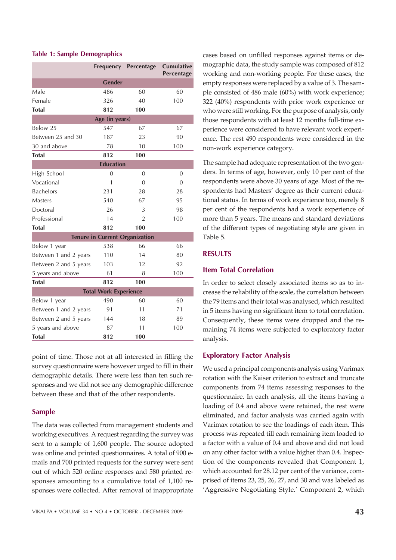#### Table 1: Sample Demographics

|                       | <b>Frequency</b>                      | Percentage     | <b>Cumulative</b><br>Percentage |
|-----------------------|---------------------------------------|----------------|---------------------------------|
|                       | <b>Gender</b>                         |                |                                 |
| Male                  | 486                                   | 60             | 60                              |
| Female                | 326                                   | 40             | 100                             |
| <b>Total</b>          | 812                                   | 100            |                                 |
|                       | Age (in years)                        |                |                                 |
| Below 25              | 547                                   | 67             | 67                              |
| Between 25 and 30     | 187                                   | 23             | 90                              |
| 30 and above          | 78                                    | 10             | 100                             |
| <b>Total</b>          | 812                                   | 100            |                                 |
|                       | <b>Education</b>                      |                |                                 |
| High School           | $\Omega$                              | $\Omega$       | $\Omega$                        |
| Vocational            | 1                                     | $\Omega$       | $\Omega$                        |
| <b>Bachelors</b>      | 231                                   | 28             | 28                              |
| Masters               | 540                                   | 67             | 95                              |
| Doctoral              | 26                                    | 3              | 98                              |
| Professional          | 14                                    | $\overline{2}$ | 100                             |
| <b>Total</b>          | 812                                   | 100            |                                 |
|                       | <b>Tenure in Current Organization</b> |                |                                 |
| Below 1 year          | 538                                   | 66             | 66                              |
| Between 1 and 2 years | 110                                   | 14             | 80                              |
| Between 2 and 5 years | 103                                   | 12             | 92                              |
| 5 years and above     | 61                                    | 8              | 100                             |
| <b>Total</b>          | 812                                   | 100            |                                 |
|                       | <b>Total Work Experience</b>          |                |                                 |
| Below 1 year          | 490                                   | 60             | 60                              |
| Between 1 and 2 years | 91                                    | 11             | 71                              |
| Between 2 and 5 years | 144                                   | 18             | 89                              |
| 5 years and above     | 87                                    | 11             | 100                             |
| <b>Total</b>          | 812                                   | 100            |                                 |

point of time. Those not at all interested in filling the survey questionnaire were however urged to fill in their demographic details. There were less than ten such responses and we did not see any demographic difference between these and that of the other respondents.

#### Sample

The data was collected from management students and working executives. A request regarding the survey was sent to a sample of 1,600 people. The source adopted was online and printed questionnaires. A total of 900 emails and 700 printed requests for the survey were sent out of which 520 online responses and 580 printed responses amounting to a cumulative total of 1,100 responses were collected. After removal of inappropriate cases based on unfilled responses against items or demographic data, the study sample was composed of 812 working and non-working people. For these cases, the empty responses were replaced by a value of 3. The sample consisted of 486 male (60%) with work experience; 322 (40%) respondents with prior work experience or who were still working. For the purpose of analysis, only those respondents with at least 12 months full-time experience were considered to have relevant work experience. The rest 490 respondents were considered in the non-work experience category.

The sample had adequate representation of the two genders. In terms of age, however, only 10 per cent of the respondents were above 30 years of age. Most of the respondents had Masters' degree as their current educational status. In terms of work experience too, merely 8 per cent of the respondents had a work experience of more than 5 years. The means and standard deviations of the different types of negotiating style are given in Table 5.

#### RESULTS

#### Item Total Correlation

In order to select closely associated items so as to increase the reliability of the scale, the correlation between the 79 items and their total was analysed, which resulted in 5 items having no significant item to total correlation. Consequently, these items were dropped and the remaining 74 items were subjected to exploratory factor analysis.

#### Exploratory Factor Analysis

We used a principal components analysis using Varimax rotation with the Kaiser criterion to extract and truncate components from 74 items assessing responses to the questionnaire. In each analysis, all the items having a loading of 0.4 and above were retained, the rest were eliminated, and factor analysis was carried again with Varimax rotation to see the loadings of each item. This process was repeated till each remaining item loaded to a factor with a value of 0.4 and above and did not load on any other factor with a value higher than 0.4. Inspection of the components revealed that Component 1, which accounted for 28.12 per cent of the variance, comprised of items 23, 25, 26, 27, and 30 and was labeled as 'Aggressive Negotiating Style.' Component 2, which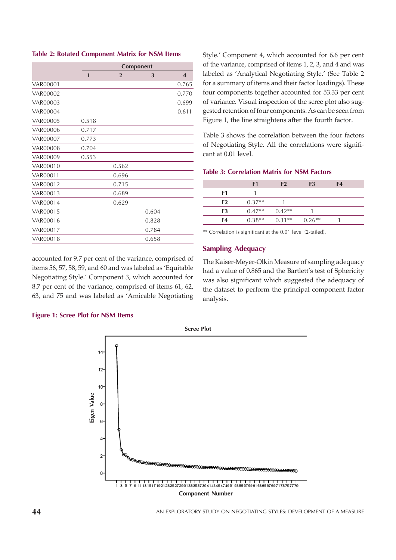#### Table 2: Rotated Component Matrix for NSM Items

|                 | Component    |                |       |                         |  |  |  |  |  |
|-----------------|--------------|----------------|-------|-------------------------|--|--|--|--|--|
|                 | $\mathbf{1}$ | $\overline{2}$ | 3     | $\overline{\mathbf{4}}$ |  |  |  |  |  |
| VAR00001        |              |                |       | 0.765                   |  |  |  |  |  |
| <b>VAR00002</b> |              |                |       | 0.770                   |  |  |  |  |  |
| <b>VAR00003</b> |              |                |       | 0.699                   |  |  |  |  |  |
| <b>VAR00004</b> |              |                |       | 0.611                   |  |  |  |  |  |
| <b>VAR00005</b> | 0.518        |                |       |                         |  |  |  |  |  |
| VAR00006        | 0.717        |                |       |                         |  |  |  |  |  |
| <b>VAR00007</b> | 0.773        |                |       |                         |  |  |  |  |  |
| <b>VAR00008</b> | 0.704        |                |       |                         |  |  |  |  |  |
| <b>VAR00009</b> | 0.553        |                |       |                         |  |  |  |  |  |
| VAR00010        |              | 0.562          |       |                         |  |  |  |  |  |
| <b>VAR00011</b> |              | 0.696          |       |                         |  |  |  |  |  |
| VAR00012        |              | 0.715          |       |                         |  |  |  |  |  |
| VAR00013        |              | 0.689          |       |                         |  |  |  |  |  |
| VAR00014        |              | 0.629          |       |                         |  |  |  |  |  |
| VAR00015        |              |                | 0.604 |                         |  |  |  |  |  |
| VAR00016        |              |                | 0.828 |                         |  |  |  |  |  |
| VAR00017        |              |                | 0.784 |                         |  |  |  |  |  |
| VAR00018        |              |                | 0.658 |                         |  |  |  |  |  |

accounted for 9.7 per cent of the variance, comprised of items 56, 57, 58, 59, and 60 and was labeled as 'Equitable Negotiating Style.' Component 3, which accounted for 8.7 per cent of the variance, comprised of items 61, 62, 63, and 75 and was labeled as 'Amicable Negotiating

Style.' Component 4, which accounted for 6.6 per cent of the variance, comprised of items 1, 2, 3, and 4 and was labeled as 'Analytical Negotiating Style.' (See Table 2 for a summary of items and their factor loadings). These four components together accounted for 53.33 per cent of variance. Visual inspection of the scree plot also suggested retention of four components. As can be seen from Figure 1, the line straightens after the fourth factor.

Table 3 shows the correlation between the four factors of Negotiating Style. All the correlations were significant at 0.01 level.

#### Table 3: Correlation Matrix for NSM Factors

|                | F1       | F <sub>2</sub>             | F <sub>3</sub> | F4 |  |
|----------------|----------|----------------------------|----------------|----|--|
| F1             |          |                            |                |    |  |
| F <sub>2</sub> | $0.37**$ |                            |                |    |  |
| F <sub>3</sub> |          | $0.47**$ $0.42**$          |                |    |  |
| F4             |          | $0.38**$ $0.31**$ $0.26**$ |                |    |  |
|                |          |                            |                |    |  |

\*\* Correlation is significant at the 0.01 level (2-tailed).

#### Sampling Adequacy

The Kaiser-Meyer-Olkin Measure of sampling adequacy had a value of 0.865 and the Bartlett's test of Sphericity was also significant which suggested the adequacy of the dataset to perform the principal component factor analysis.



#### Figure 1: Scree Plot for NSM Items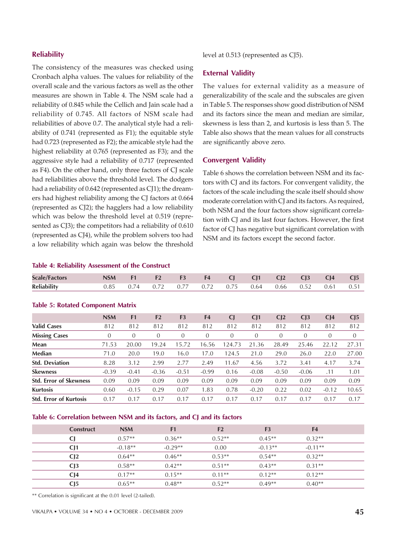#### **Reliability**

The consistency of the measures was checked using Cronbach alpha values. The values for reliability of the overall scale and the various factors as well as the other measures are shown in Table 4. The NSM scale had a reliability of 0.845 while the Cellich and Jain scale had a reliability of 0.745. All factors of NSM scale had reliabilities of above 0.7. The analytical style had a reliability of 0.741 (represented as F1); the equitable style had 0.723 (represented as F2); the amicable style had the highest reliability at 0.765 (represented as F3); and the aggressive style had a reliability of 0.717 (represented as F4). On the other hand, only three factors of CJ scale had reliabilities above the threshold level. The dodgers had a reliability of 0.642 (represented as CJ1); the dreamers had highest reliability among the CJ factors at 0.664 (represented as CJ2); the hagglers had a low reliability which was below the threshold level at 0.519 (represented as CJ3); the competitors had a reliability of 0.610 (represented as CJ4), while the problem solvers too had a low reliability which again was below the threshold

#### level at 0.513 (represented as CJ5).

#### External Validity

The values for external validity as a measure of generalizability of the scale and the subscales are given in Table 5. The responses show good distribution of NSM and its factors since the mean and median are similar, skewness is less than 2, and kurtosis is less than 5. The Table also shows that the mean values for all constructs are significantly above zero.

#### Convergent Validity

Table 6 shows the correlation between NSM and its factors with CJ and its factors. For convergent validity, the factors of the scale including the scale itself should show moderate correlation with CJ and its factors. As required, both NSM and the four factors show significant correlation with CJ and its last four factors. However, the first factor of CJ has negative but significant correlation with NSM and its factors except the second factor.

#### Table 4: Reliability Assessment of the Construct

| <b>Scale/Factors</b> |  |  |  |                                                  | NSM F1 F2 F3 F4 CJ CJ1 CJ2 CJ3 CJ4 | CI5  |
|----------------------|--|--|--|--------------------------------------------------|------------------------------------|------|
| <b>Reliability</b>   |  |  |  | $0.85$ $0.74$ $0.72$ $0.77$ $0.72$ $0.75$ $0.64$ | $0.66$ $0.52$ $0.61$               | 0.51 |
|                      |  |  |  |                                                  |                                    |      |

#### Table 5: Rotated Component Matrix

|                               | <b>NSM</b> | F <sub>1</sub> | F <sub>2</sub> | F <sub>3</sub> | F <sub>4</sub> | C <sub>l</sub> | CI1            | C <sub>12</sub> | C <sub>13</sub> | C <sub>14</sub> | CI <sub>5</sub> |
|-------------------------------|------------|----------------|----------------|----------------|----------------|----------------|----------------|-----------------|-----------------|-----------------|-----------------|
| <b>Valid Cases</b>            | 812        | 812            | 812            | 812            | 812            | 812            | 812            | 812             | 812             | 812             | 812             |
| <b>Missing Cases</b>          | $\theta$   | $\theta$       | $\theta$       | $\Omega$       | $\Omega$       | $\Omega$       | $\overline{0}$ | 0               | $\Omega$        | $\Omega$        | $\theta$        |
| Mean                          | 71.53      | 20.00          | 19.24          | 15.72          | 16.56          | 124.73         | 21<br>.36      | 28.49           | 25.46           | 22.12           | 27.31           |
| <b>Median</b>                 | 71.0       | 20.0           | 19.0           | 16.0           | 17.0           | 124.5          | 21.0           | 29.0            | 26.0            | 22.0            | 27.00           |
| <b>Std. Deviation</b>         | 8.28       | 3.12           | 2.99           | 2.77           | 2.49           | 11.67          | 4.56           | 3.72            | 3.41            | 4.17            | 3.74            |
| <b>Skewness</b>               | $-0.39$    | $-0.41$        | $-0.36$        | $-0.51$        | $-0.99$        | 0.16           | $-0.08$        | $-0.50$         | $-0.06$         | .11             | 1.01            |
| <b>Std. Error of Skewness</b> | 0.09       | 0.09           | 0.09           | 0.09           | 0.09           | 0.09           | 0.09           | 0.09            | 0.09            | 0.09            | 0.09            |
| <b>Kurtosis</b>               | 0.60       | $-0.15$        | 0.29           | 0.07           | 1.83           | 0.78           | $-0.20$        | 0.22            | 0.02            | $-0.12$         | 10.65           |
| <b>Std. Error of Kurtosis</b> | 0.17       | 0.17           | 0.17           | 0.17           | 0.17           | 0.17           | 0.17           | 0.17            | 0.17            | 0.17            | 0.17            |

#### Table 6: Correlation between NSM and its factors, and CJ and its factors

| <b>Construct</b> | <b>NSM</b> | F1        | F <sub>2</sub> | F <sub>3</sub> | F <sub>4</sub> |  |
|------------------|------------|-----------|----------------|----------------|----------------|--|
|                  | $0.57**$   | $0.36**$  | $0.52**$       | $0.45**$       | $0.32**$       |  |
| C <sub>1</sub>   | $-0.18**$  | $-0.29**$ | 0.00           | $-0.13**$      | $-0.11**$      |  |
| C <sub>12</sub>  | $0.64**$   | $0.46**$  | $0.53**$       | $0.54**$       | $0.32**$       |  |
| C <sub>13</sub>  | $0.58**$   | $0.42**$  | $0.51**$       | $0.43**$       | $0.31**$       |  |
| C <sub>14</sub>  | $0.17**$   | $0.15***$ | $0.11**$       | $0.12**$       | $0.12**$       |  |
| C <sub>15</sub>  | $0.65**$   | $0.48**$  | $0.52**$       | $0.49**$       | $0.40**$       |  |

\*\* Correlation is significant at the 0.01 level (2-tailed).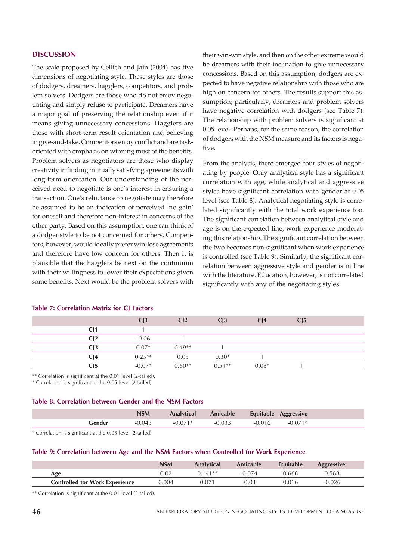#### **DISCUSSION**

The scale proposed by Cellich and Jain (2004) has five dimensions of negotiating style. These styles are those of dodgers, dreamers, hagglers, competitors, and problem solvers. Dodgers are those who do not enjoy negotiating and simply refuse to participate. Dreamers have a major goal of preserving the relationship even if it means giving unnecessary concessions. Hagglers are those with short-term result orientation and believing in give-and-take. Competitors enjoy conflict and are taskoriented with emphasis on winning most of the benefits. Problem solvers as negotiators are those who display creativity in finding mutually satisfying agreements with long-term orientation. Our understanding of the perceived need to negotiate is one's interest in ensuring a transaction. One's reluctance to negotiate may therefore be assumed to be an indication of perceived 'no gain' for oneself and therefore non-interest in concerns of the other party. Based on this assumption, one can think of a dodger style to be not concerned for others. Competitors, however, would ideally prefer win-lose agreements and therefore have low concern for others. Then it is plausible that the hagglers be next on the continuum with their willingness to lower their expectations given some benefits. Next would be the problem solvers with

their win-win style, and then on the other extreme would be dreamers with their inclination to give unnecessary concessions. Based on this assumption, dodgers are expected to have negative relationship with those who are high on concern for others. The results support this assumption; particularly, dreamers and problem solvers have negative correlation with dodgers (see Table 7). The relationship with problem solvers is significant at 0.05 level. Perhaps, for the same reason, the correlation of dodgers with the NSM measure and its factors is negative.

From the analysis, there emerged four styles of negotiating by people. Only analytical style has a significant correlation with age, while analytical and aggressive styles have significant correlation with gender at 0.05 level (see Table 8). Analytical negotiating style is correlated significantly with the total work experience too. The significant correlation between analytical style and age is on the expected line, work experience moderating this relationship. The significant correlation between the two becomes non-significant when work experience is controlled (see Table 9). Similarly, the significant correlation between aggressive style and gender is in line with the literature. Education, however, is not correlated significantly with any of the negotiating styles.

|                 | CJ1      | C <sub>12</sub> | C <sub>13</sub> | C <sub>14</sub> | CJ <sub>5</sub> |  |
|-----------------|----------|-----------------|-----------------|-----------------|-----------------|--|
| C <sub>11</sub> |          |                 |                 |                 |                 |  |
| C <sub>12</sub> | $-0.06$  |                 |                 |                 |                 |  |
| C <sub>13</sub> | $0.07*$  | $0.49**$        |                 |                 |                 |  |
| CJ4             | $0.25**$ | 0.05            | $0.30*$         |                 |                 |  |
| C <sub>15</sub> | $-0.07*$ | $0.60**$        | $0.51**$        | $0.08*$         |                 |  |

#### Table 7: Correlation Matrix for CJ Factors

\*\* Correlation is significant at the 0.01 level (2-tailed).

\* Correlation is significant at the 0.05 level (2-tailed).

#### Table 8: Correlation between Gender and the NSM Factors

|          | <b>NSM</b> | <b>Analytical</b> | Amicable Equitable Aggressive |                    |
|----------|------------|-------------------|-------------------------------|--------------------|
| Gender - | 0.043      | $-0.071*$         | $-0.033$                      | $-0.016$ $-0.071*$ |

\* Correlation is significant at the 0.05 level (2-tailed).

#### Table 9: Correlation between Age and the NSM Factors when Controlled for Work Experience

|                                       | <b>NSM</b> | <b>Analytical</b> | Amicable | Equitable | <b>Aggressive</b> |
|---------------------------------------|------------|-------------------|----------|-----------|-------------------|
| Age                                   | 0.02       | $0.141**$         | $-0.074$ | 0.666     | 0.588             |
| <b>Controlled for Work Experience</b> | 0.004      | 0.071             | $-0.04$  | 0.016     | -0.026            |

\*\* Correlation is significant at the 0.01 level (2-tailed).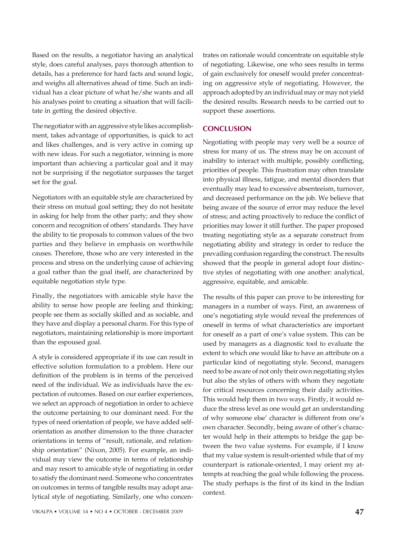Based on the results, a negotiator having an analytical style, does careful analyses, pays thorough attention to details, has a preference for hard facts and sound logic, and weighs all alternatives ahead of time. Such an individual has a clear picture of what he/she wants and all his analyses point to creating a situation that will facilitate in getting the desired objective.

The negotiator with an aggressive style likes accomplishment, takes advantage of opportunities, is quick to act and likes challenges, and is very active in coming up with new ideas. For such a negotiator, winning is more important than achieving a particular goal and it may not be surprising if the negotiator surpasses the target set for the goal.

Negotiators with an equitable style are characterized by their stress on mutual goal setting; they do not hesitate in asking for help from the other party; and they show concern and recognition of others' standards. They have the ability to tie proposals to common values of the two parties and they believe in emphasis on worthwhile causes. Therefore, those who are very interested in the process and stress on the underlying cause of achieving a goal rather than the goal itself, are characterized by equitable negotiation style type.

Finally, the negotiators with amicable style have the ability to sense how people are feeling and thinking; people see them as socially skilled and as sociable, and they have and display a personal charm. For this type of negotiators, maintaining relationship is more important than the espoused goal.

A style is considered appropriate if its use can result in effective solution formulation to a problem. Here our definition of the problem is in terms of the perceived need of the individual. We as individuals have the expectation of outcomes. Based on our earlier experiences, we select an approach of negotiation in order to achieve the outcome pertaining to our dominant need. For the types of need orientation of people, we have added selforientation as another dimension to the three character orientations in terms of "result, rationale, and relationship orientation" (Nixon, 2005). For example, an individual may view the outcome in terms of relationship and may resort to amicable style of negotiating in order to satisfy the dominant need. Someone who concentrates on outcomes in terms of tangible results may adopt analytical style of negotiating. Similarly, one who concentrates on rationale would concentrate on equitable style of negotiating. Likewise, one who sees results in terms of gain exclusively for oneself would prefer concentrating on aggressive style of negotiating. However, the approach adopted by an individual may or may not yield the desired results. Research needs to be carried out to support these assertions.

#### **CONCLUSION**

Negotiating with people may very well be a source of stress for many of us. The stress may be on account of inability to interact with multiple, possibly conflicting, priorities of people. This frustration may often translate into physical illness, fatigue, and mental disorders that eventually may lead to excessive absenteeism, turnover, and decreased performance on the job. We believe that being aware of the source of error may reduce the level of stress; and acting proactively to reduce the conflict of priorities may lower it still further. The paper proposed treating negotiating style as a separate construct from negotiating ability and strategy in order to reduce the prevailing confusion regarding the construct. The results showed that the people in general adopt four distinctive styles of negotiating with one another: analytical, aggressive, equitable, and amicable.

The results of this paper can prove to be interesting for managers in a number of ways. First, an awareness of one's negotiating style would reveal the preferences of oneself in terms of what characteristics are important for oneself as a part of one's value system. This can be used by managers as a diagnostic tool to evaluate the extent to which one would like to have an attribute on a particular kind of negotiating style. Second, managers need to be aware of not only their own negotiating styles but also the styles of others with whom they negotiate for critical resources concerning their daily activities. This would help them in two ways. Firstly, it would reduce the stress level as one would get an understanding of why someone else' character is different from one's own character. Secondly, being aware of other's character would help in their attempts to bridge the gap between the two value systems. For example, if I know that my value system is result-oriented while that of my counterpart is rationale-oriented, I may orient my attempts at reaching the goal while following the process. The study perhaps is the first of its kind in the Indian context.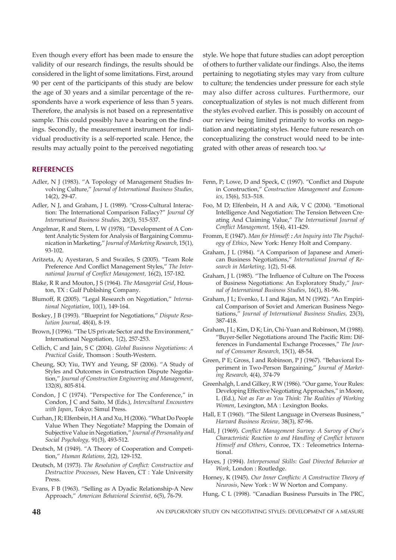Even though every effort has been made to ensure the validity of our research findings, the results should be considered in the light of some limitations. First, around 90 per cent of the participants of this study are below the age of 30 years and a similar percentage of the respondents have a work experience of less than 5 years. Therefore, the analysis is not based on a representative sample. This could possibly have a bearing on the findings. Secondly, the measurement instrument for individual productivity is a self-reported scale. Hence, the results may actually point to the perceived negotiating

#### **REFERENCES**

- Adler, N J (1983). "A Topology of Management Studies Involving Culture," *Journal of International Business Studies,* 14(2), 29-47.
- Adler, N J, and Graham, J L (1989). "Cross-Cultural Interaction: The International Comparison Fallacy?" *Journal Of International Business Studies,* 20(3), 515-537.
- Angelmar, R and Stern, L W (1978). "Development of A Content Analytic System for Analysis of Bargaining Communication in Marketing," *Journal of Marketing Research,* 15(1), 93-102.
- Aritzeta, A; Ayestaran, S and Swailes, S (2005). "Team Role Preference And Conflict Management Styles," *The International Journal of Conflict Management,* 16(2), 157-182.
- Blake, R R and Mouton, J S (1964). *The Managerial Grid*, Houston, TX : Gulf Publishing Company.
- Blumoff, R (2005). "Legal Research on Negotiation," *International Negotiation*, 10(1), 149-164.
- Boskey, J B (1993). "Blueprint for Negotiations," *Dispute Resolution Journal,* 48(4), 8-19.
- Brown, J (1996). "The US private Sector and the Environment," International Negotiation, 1(2), 257-253.
- Cellich, C and Jain, S C (2004). *Global Business Negotiations: A Practical Guide*, Thomson : South-Western.
- Cheung, SO; Yiu, TWY and Yeung, SF (2006). "A Study of Styles and Outcomes in Construction Dispute Negotiation," *Journal of Construction Engineering and Management*, 132(8), 805-814.
- Condon, J C (1974). "Perspective for The Conference," in Condon, J C and Saito, M (Eds.), *Intercultural Encounters with Japan*, Tokyo: Simul Press.
- Curhan, J R; Elfenbein, H A and Xu, H (2006). "What Do People Value When They Negotiate? Mapping the Domain of Subjective Value in Negotiation," *Journal of Personality and Social Psychology,* 91(3), 493-512.
- Deutsch, M (1949). "A Theory of Cooperation and Competition," *Human Relations,* 2(2), 129-152.
- Deutsch, M (1973). *The Resolution of Conflict: Constructive and Destructive Processes*, New Haven, CT : Yale University Press.
- Evans, F B (1963). "Selling as A Dyadic Relationship-A New Approach," *American Behavioral Scientist,* 6(5), 76-79.

style. We hope that future studies can adopt perception of others to further validate our findings. Also, the items pertaining to negotiating styles may vary from culture to culture; the tendencies under pressure for each style may also differ across cultures. Furthermore, our conceptualization of styles is not much different from the styles evolved earlier. This is possibly on account of our review being limited primarily to works on negotiation and negotiating styles. Hence future research on conceptualizing the construct would need to be integrated with other areas of research too.

- Fenn, P; Lowe, D and Speck, C (1997). "Conflict and Dispute in Construction," *Construction Management and Economics,* 15(6), 513–518.
- Foo, M D; Elfenbein, H A and Aik, V C (2004). "Emotional Intelligence And Negotiation: The Tension Between Creating And Claiming Value," *The International Journal of Conflict Management,* 15(4), 411-429.
- Fromm, E (1947). *Man for Himself: : An Inquiry into The Psychology of Ethics*, New York: Henry Holt and Company.
- Graham, J L (1984). "A Comparison of Japanese and American Business Negotiations," *International Journal of Research in Marketing,* 1(2), 51-68.
- Graham, J L (1985). "The Influence of Culture on The Process of Business Negotiations: An Exploratory Study," *Journal of International Business Studies,* 16(1), 81-96.
- Graham, J L; Evenko, L I and Rajan, M N (1992). "An Empirical Comparison of Soviet and American Business Negotiations," *Journal of International Business Studies,* 23(3), 387-418.
- Graham, J L; Kim, D K; Lin, Chi-Yuan and Robinson, M (1988). "Buyer-Seller Negotiations around The Pacific Rim: Differences in Fundamental Exchange Processes," *The Journal of Consumer Research,* 15(1), 48-54.
- Green, P E; Gross, I and Robinson, P J (1967). "Behavioral Experiment in Two-Person Bargaining," *Journal of Marketing Research,* 4(4), 374-79
- Greenhalgh, L and Gilkey, R W (1986). "Our game, Your Rules: Developing Effective Negotiating Approaches," in Moore, L (Ed.), *Not as Far as You Think: The Realities of Working Women*, Lexington, MA : Lexington Books.
- Hall, E T (1960). "The Silent Language in Overseas Business," *Harvard Business Review,* 38(3), 87-96.
- Hall, J (1969). *Conflict Management Survey: A Survey of One's Characteristic Reaction to and Handling of Conflict between Himself and Others*, Conroe, TX : Teleometrics International.
- Hayes, J (1994). *Interpersonal Skills: Goal Directed Behavior at Work*, London : Routledge.
- Horney, K (1945). *Our Inner Conflicts: A Constructive Theory of Neurosis*, New York : W W Norton and Company.
- Hung, C L (1998). "Canadian Business Pursuits in The PRC,